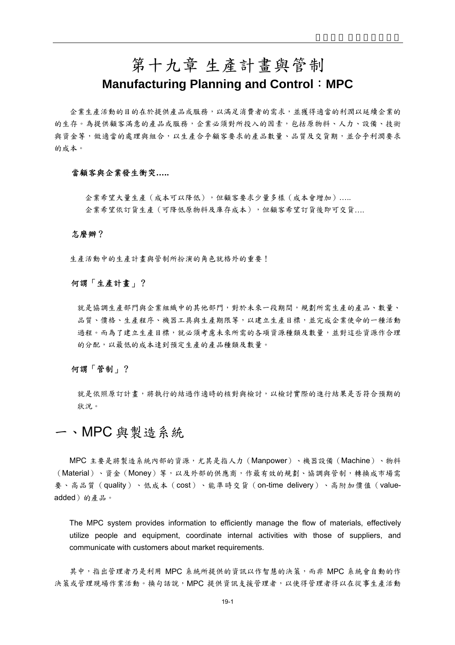# 第十九章 生產計畫與管制 **Manufacturing Planning and Control**:**MPC**

企業生產活動的目的在於提供產品或服務,以滿足消費者的需求,並獲得適當的利潤以延續企業的 的生存。為提供顧客滿意的產品或服務,企業必須對所投入的因素,包括原物料、人力、設備、技術 與資金等,做適當的處理與組合,以生產合乎顧客要求的產品數量、品質及交貨期,並合乎利潤要求 的成本。

## 當顧客與企業發生衝突**…..**

企業希望大量生產(成本可以降低),但顧客要求少量多樣(成本會增加)….. 企業希望依訂貨生產(可降低原物料及庫存成本),但顧客希望訂貨後即可交貨….

#### 怎麼辦?

生產活動中的生產計畫與管制所扮演的角色就格外的重要!

## 何謂「生產計畫」?

就是協調生產部門與企業組織中的其他部門,對於未來一段期間,規劃所需生產的產品、數量、 品質、價格、生產程序、機器工具與生產期限等,以建立生產目標,並完成企業使命的一種活動 過程。而為了建立生產目標,就必須考慮未來所需的各項資源種類及數量,並對這些資源作合理 的分配,以最低的成本達到預定生產的產品種類及數量。

### 何謂「管制」?

就是依照原訂計畫,將執行的結過作適時的核對與檢討,以檢討實際的進行結果是否符合預期的 狀況。

# 一、MPC 與製造系統

MPC 主要是將製造系統內部的資源,尤其是指人力(Manpower)、機器設備(Machine)、物料 (Material)、資金(Money)等,以及外部的供應商,作最有效的規劃、協調與管制,轉換成市場需 要、高品質(quality)、低成本(cost)、能準時交貨(on-time delivery)、高附加價值(valueadded)的產品。

The MPC system provides information to efficiently manage the flow of materials, effectively utilize people and equipment, coordinate internal activities with those of suppliers, and communicate with customers about market requirements.

其中,指出管理者乃是利用 MPC 系統所提供的資訊以作智慧的決策,而非 MPC 系統會自動的作 決策或管理現場作業活動。換句話說,MPC 提供資訊支援管理者,以使得管理者得以在從事生產活動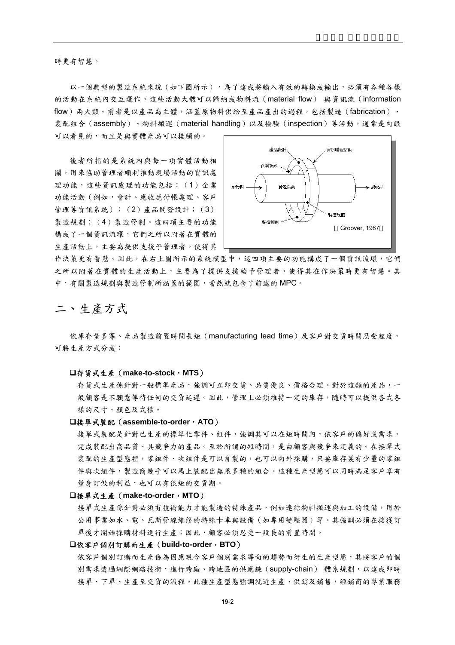時更有智慧。

以一個典型的製造系統來說(如下圖所示),為了達成將輸入有效的轉換成輸出,必須有各種各樣 的活動在系統內交互運作,這些活動大體可以歸納成物料流(material flow) 與資訊流(information flow)兩大類。前者是以產品為主體,涵蓋原物料供給至產品產出的過程,包括製造(fabrication)、 裝配組合(assembly)、物料搬運(material handling)以及檢驗(inspection)等活動,通常是肉眼

可以看見的,而且是與實體產品可以接觸的。

後者所指的是系統內與每一項實體活動相 關,用來協助管理者順利推動現場活動的資訊處 理功能,這些資訊處理的功能包括:(1)企業 功能活動(例如,會計、應收應付帳處理、客戶 管理等資訊系統);(2)產品開發設計;(3) 製造規劃;(4)製造管制。這四項主要的功能 構成了一個資訊流環,它們之所以附著在實體的 生產活動上,主要為提供支援予管理者,使得其



作決策更有智慧。因此,在右上圖所示的系統模型中,這四項主要的功能構成了一個資訊流環,它們 之所以附著在實體的生產活動上,主要為了提供支援給予管理者,使得其在作決策時更有智慧。其 中,有關製造規劃與製造管制所涵蓋的範圍,當然就包含了前述的 MPC。

# 二、生產方式

依庫存量多寡、產品製造前置時間長短(manufacturing lead time)及客戶對交貨時間忍受程度, 可將生產方式分成:

#### 存貨式生產(**make-to-stock**,**MTS**)

存貨式生產係針對一般標準產品,強調可立即交貨、品質優良、價格合理。對於這類的產品,一 般顧客是不願意等待任何的交貨延遲。因此,管理上必須維持一定的庫存,隨時可以提供各式各 樣的尺寸、顏色及式樣。

#### 接單式裝配(**assemble-to-order**,**ATO**)

接單式裝配是針對已生產的標準化零件、組件,強調其可以在短時間內,依客戶的偏好或需求, 完成裝配出高品質、具競爭力的產品。至於所謂的短時間,是由顧客與競爭來定義的。在接單式 装配的生產型態裡,零組件、次組件是可以自製的,也可以向外採購,只要庫存裏有少量的零組 件與次組件,製造商幾乎可以馬上裝配出無限多種的組合。這種生產型態可以同時滿足客戶享有 量身訂做的利益,也可以有很短的交貨期。

#### 接單式生產(**make-to-order**,**MTO**)

接單式生產係針對必須有技術能力才能製造的特殊產品,例如連結物料搬運與加工的設備,用於 公用事業如水、電、瓦斯管線維修的特殊卡車與設備(如專用變壓器)等。其強調必須在接獲訂 單後才開始採購材料進行生產;因此,顧客必須忍受一段長的前置時間。

#### 依客戶個別訂購而生產(**build-to-order**,**BTO**)

依客戶個別訂購而生產係為因應現今客戶個別需求導向的趨勢而衍生的生產型態,其將客戶的個 別需求透過網際網路技術,進行跨廠、跨地區的供應鍊(supply-chain) 體系規劃,以達成即時 接單、下單、生產至交貨的流程。此種生產型態強調就近生產、供銷及銷售,經銷商的專業服務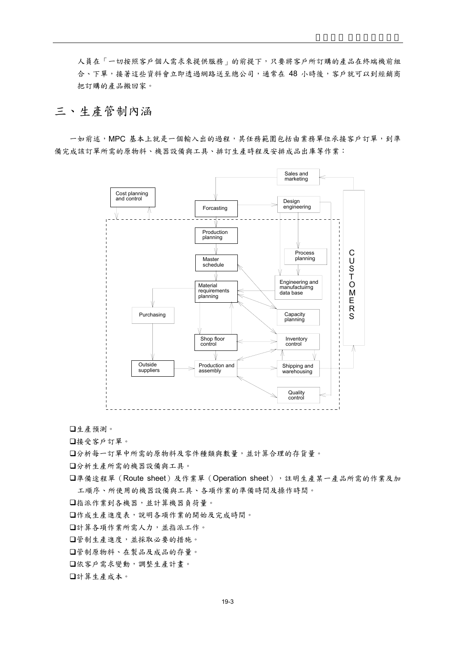人員在「一切按照客戶個人需求來提供服務」的前提下,只要將客戶所訂購的產品在終端機前組 合、下單,接著這些資料會立即透過網路送至總公司,通常在 48 小時後,客戶就可以到經銷商 把訂購的產品搬回家。

# 三、生產管制內涵

一如前述,MPC 基本上就是一個輸入出的過程,其任務範圍包括由業務單位承接客戶訂單,到準 備完成該訂單所需的原物料、機器設備與工具、排訂生產時程及安排成品出庫等作業:



生產預測。

接受客戶訂單。

分析每一訂單中所需的原物料及零件種類與數量,並計算合理的存貨量。

分析生產所需的機器設備與工具。

準備途程單(Route sheet)及作業單(Operation sheet),註明生產某一產品所需的作業及加 工順序、所使用的機器設備與工具、各項作業的準備時間及操作時間。

指派作業到各機器,並計算機器負荷量。

作成生產進度表,說明各項作業的開始及完成時間。

計算各項作業所需人力,並指派工作。

管制生產進度,並採取必要的措施。

管制原物料、在製品及成品的存量。

依客戶需求變動,調整生產計畫。

計算生產成本。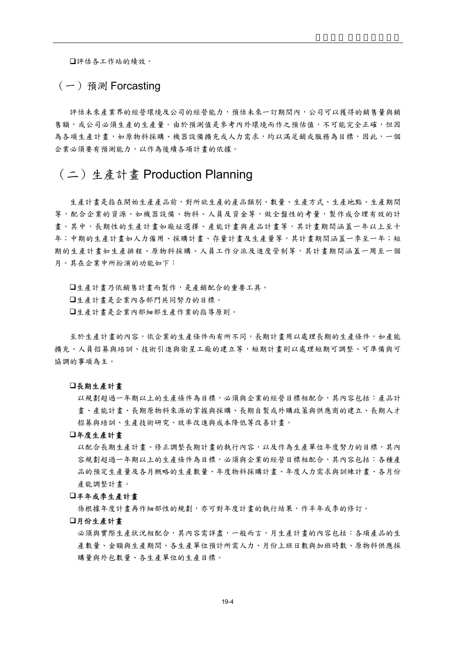評估各工作站的績效。

(一)預測 Forcasting

評估未來產業界的經營環境的經營能力,預估未來一訂期間內,公司可以獲得的銷售量與銷 售額,或公司必須生產的生產量。由於預測值是參考內外環境而作之預估值,不可能完全正確,但因 為各項生產計畫,如原物料採購、機器設備擴充或人力需求,均以滿足銷或服務為目標,因此,一個 企業必須要有預測能力,以作為後續各項計畫的依據。

# (二)生產計畫 Production Planning

生產計畫是指在開始生產產品前,對所欲生產的產品類別、數量、生產方式、生產地點、生產期間 等,配合企業的資源、如機器設備、物料、人員及資金等,做全盤性的考量,製作成合理有效的計 書。其中,長期性的生產計畫與心主義的主義與產品計畫等,其計畫期間涵蓋一年以上至十 年;中期的生產計畫如人力僱用、採購計畫、存量計畫及生產量等,其計畫期間涵蓋一季至一年;短 期的生產計畫如生產排程、原物料採購、人員工作分派及進度管制等,其計畫期間涵蓋一周至一個 月。其在企業中所扮演的功能如下:

生產計畫乃依銷售計畫而製作,是產銷配合的重要工具。 生產計畫是企業內各部門共同努力的目標。 生產計畫是企業內部細部生產作業的指導原則。

至於生產計畫的內容,依企業的生產條件而有所不同,長期計畫用以處理長期的生產條件,如產能 擴充、人員招募與培訓、技術引進與衛星工廠的建立等,短期計畫則以處理短期可調整、可準備與可 協調的事項為主。

#### 長期生產計畫

以規劃超過一年期以上的生產條件為目標,必須與企業的經營目標相配合,其內容包括:產品計 畫、產能計畫、長期原物料來源的掌握與採購、長期自製或外購政策與供應商的建立、長期人才 招募與培訓、生產技術研究、效率改進與成本降低等改善計畫。

#### 年度生產計畫

以配合長期生產計畫、修正調整長期計畫的執行內容,以及作為生產單位年度努力的目標,其內 容規劃超過一年期以上的生產條件為目標,必須與企業的經營目標相配合,其內容包括:各種產 品的預定生產量及各月概略的生產數量、年度物料採購計畫、年度人力需求與訓練計畫、各月份 產能調整計畫。

#### 半年或季生產計畫

係根據年度計書再作細部性的規劃,亦可對年度計書的執行結果,作半年或季的修訂。

#### 月份生產計畫

必須與實際生產狀況相配合,其內容需詳盡,一般而言,月生產計書的內容包括:各項產品的生 產數量、金額與生產期間、各生產單位預計所需人力、月份上班日數與加班時數、原物料供應採 購量與外包數量、各生產單位的生產目標。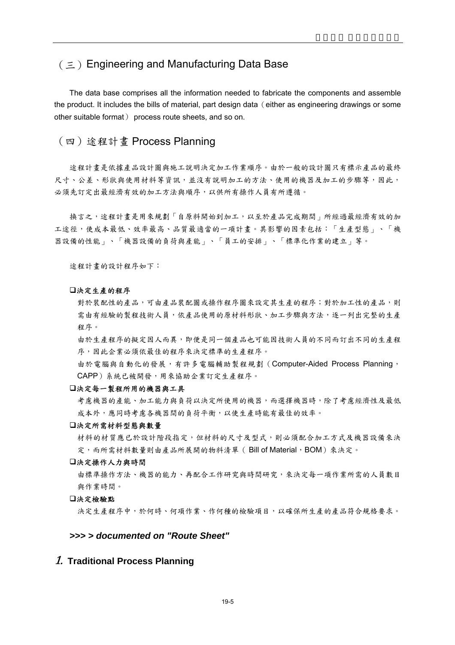# (三)Engineering and Manufacturing Data Base

The data base comprises all the information needed to fabricate the components and assemble the product. It includes the bills of material, part design data (either as engineering drawings or some other suitable format) process route sheets, and so on.

## (四)途程計畫 Process Planning

途程計畫是依據產品設計圖與施工說明決定加工作業順序。由於一般的設計圖只有標示產品的最終 尺寸、公差、形狀與使用材料等資訊,並沒有說明加工的方法、使用的機器及加工的步驟等,因此, 必須先訂定出最經濟有效的加工方法與順序,以供所有操作人員有所遵循。

換言之,途程計畫是用來規劃「自原料開始到加工,以至於產品完成期間」所經過最經濟有效的加 工途徑,使成本最低、效率最高、品質最適當的一項計畫。其影響的因素包括:「生產型態」、「機 器設備的性能」、「機器設備的負荷與產能」、「員工的安排」、「標準化作業的建立」等。

途程計畫的設計程序如下:

#### 決定生產的程序

對於裝配性的產品,可由產品裝配圖或操作程序圖來設定其生產的程序;對於加工性的產品,則 需由有經驗的製程技術人員,依產品使用的原材料形狀、加工步驟與方法,逐一列出完整的生產 程序。

由於生產程序的擬定因人而異,即便是同一個產品也可能因技術人員的不同而訂出不同的生產程 序,因此企業必須依最佳的程序來決定標準的生產程序。

由於電腦與自動化的發展,有許多電腦輔助製程規劃(Computer-Aided Process Planning, CAPP)系統已被開發,用來協助企業訂定生產程序。

#### 決定每一製程所用的機器與工具

考慮機器的產能、加工能力與負荷以決定所使用的機器,而選擇機器時,除了考慮經濟性及最低 成本外,應同時考慮各機器間的負荷平衡,以使生產時能有最佳的效率。

#### 決定所需材料型態與數量

材料的材質應已於設計階段指定,但材料的尺寸及型式,則必須配合加工方式及機器設備來決 定,而所需材料數量則由產品所展開的物料清單(Bill of Material,BOM)來決定。

#### 決定操作人力與時間

由標準操作方法、機器的能力、再配合工作研究與時間研究,來決定每一項作業所需的人員數目 與作業時間。

### 決定檢驗點

決定生產程序中,於何時、何項作業、作何種的檢驗項目,以確保所生產的產品符合規格要求。

## *>>> > documented on "Route Sheet"*

## 1. **Traditional Process Planning**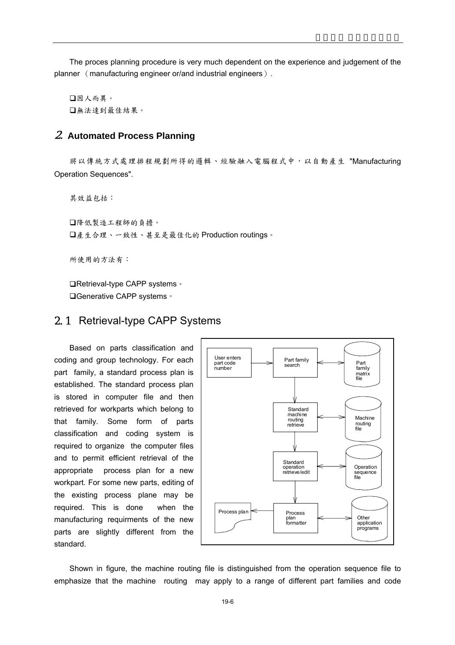The proces planning procedure is very much dependent on the experience and judgement of the planner (manufacturing engineer or/and industrial engineers).

因人而異。 無法達到最佳結果。

## 2. **Automated Process Planning**

將以傳統方式處理排程規劃所得的邏輯、經驗融入電腦程式中,以自動產生 "Manufacturing Operation Sequences".

其效益包括: 降低製造工程師的負擔。 產生合理、一致性、甚至是最佳化的 Production routings。

所使用的方法有:

**□Retrieval-type CAPP systems**。 **□Generative CAPP systems**。

## 2.1 Retrieval-type CAPP Systems

Based on parts classification and coding and group technology. For each part family, a standard process plan is established. The standard process plan is stored in computer file and then retrieved for workparts which belong to that family. Some form of parts classification and coding system is required to organize the computer files and to permit efficient retrieval of the appropriate process plan for a new workpart. For some new parts, editing of the existing process plane may be required. This is done when the manufacturing requirments of the new parts are slightly different from the standard.



Shown in figure, the machine routing file is distinguished from the operation sequence file to emphasize that the machine routing may apply to a range of different part families and code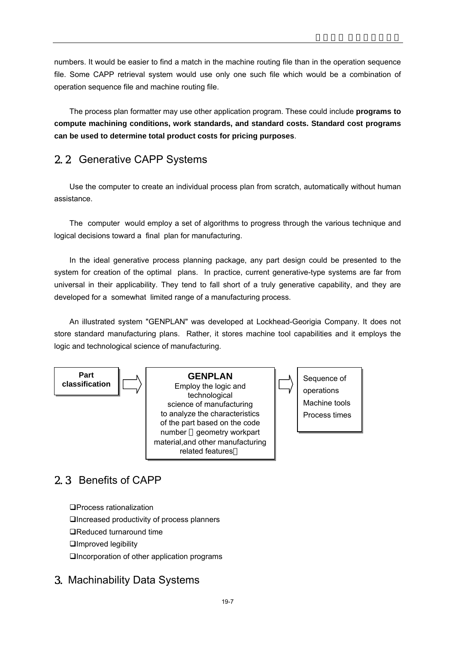numbers. It would be easier to find a match in the machine routing file than in the operation sequence file. Some CAPP retrieval system would use only one such file which would be a combination of operation sequence file and machine routing file.

The process plan formatter may use other application program. These could include **programs to compute machining conditions, work standards, and standard costs. Standard cost programs can be used to determine total product costs for pricing purposes**.

# 2.2 Generative CAPP Systems

Use the computer to create an individual process plan from scratch, automatically without human assistance.

The computer would employ a set of algorithms to progress through the various technique and logical decisions toward a final plan for manufacturing.

In the ideal generative process planning package, any part design could be presented to the system for creation of the optimal plans. In practice, current generative-type systems are far from universal in their applicability. They tend to fall short of a truly generative capability, and they are developed for a somewhat limited range of a manufacturing process.

An illustrated system "GENPLAN" was developed at Lockhead-Georigia Company. It does not store standard manufacturing plans. Rather, it stores machine tool capabilities and it employs the logic and technological science of manufacturing.



# 2.3 Benefits of CAPP

Process rationalization Increased productivity of process planners □Reduced turnaround time Improved legibility Incorporation of other application programs

# 3. Machinability Data Systems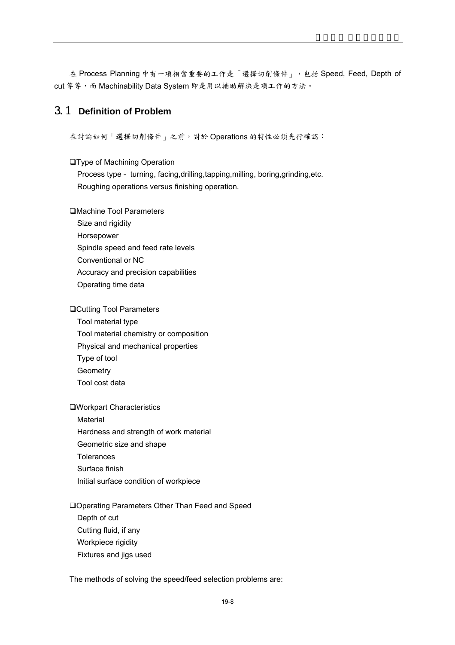在 Process Planning 中有一項相當重要的工作是「選擇切削條件」,包括 Speed, Feed, Depth of cut 等等,而 Machinability Data System 即是用以輔助解決是項工作的方法。

# 3.1 **Definition of Problem**

在討論如何「選擇切削條件」之前,對於 Operations 的特性必須先行確認:

**OType of Machining Operation** 

Process type - turning, facing,drilling,tapping,milling, boring,grinding,etc. Roughing operations versus finishing operation.

Machine Tool Parameters

Size and rigidity Horsepower Spindle speed and feed rate levels Conventional or NC Accuracy and precision capabilities Operating time data

**□Cutting Tool Parameters** 

Tool material type Tool material chemistry or composition Physical and mechanical properties Type of tool **Geometry** Tool cost data

Workpart Characteristics

Material Hardness and strength of work material Geometric size and shape **Tolerances** Surface finish Initial surface condition of workpiece

Operating Parameters Other Than Feed and Speed

Depth of cut Cutting fluid, if any Workpiece rigidity Fixtures and jigs used

The methods of solving the speed/feed selection problems are: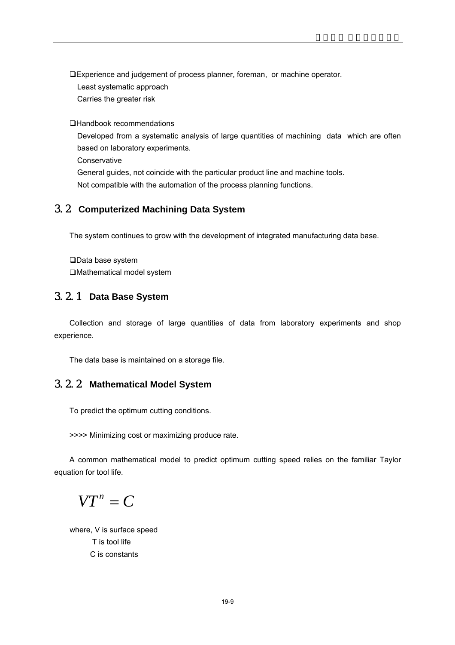Experience and judgement of process planner, foreman, or machine operator. Least systematic approach Carries the greater risk

Handbook recommendations

Developed from a systematic analysis of large quantities of machining data which are often based on laboratory experiments.

**Conservative** 

General guides, not coincide with the particular product line and machine tools. Not compatible with the automation of the process planning functions.

# 3.2 **Computerized Machining Data System**

The system continues to grow with the development of integrated manufacturing data base.

□Data base system Mathematical model system

# 3.2.1 **Data Base System**

Collection and storage of large quantities of data from laboratory experiments and shop experience.

The data base is maintained on a storage file.

# 3.2.2 **Mathematical Model System**

To predict the optimum cutting conditions.

>>>> Minimizing cost or maximizing produce rate.

A common mathematical model to predict optimum cutting speed relies on the familiar Taylor equation for tool life.

 $VT<sup>n</sup> = C$ 

 where, V is surface speed T is tool life C is constants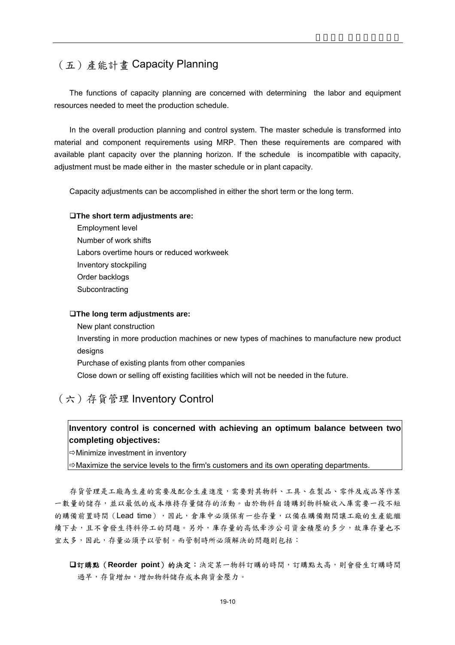# (五)產能計畫 Capacity Planning

The functions of capacity planning are concerned with determining the labor and equipment resources needed to meet the production schedule.

In the overall production planning and control system. The master schedule is transformed into material and component requirements using MRP. Then these requirements are compared with available plant capacity over the planning horizon. If the schedule is incompatible with capacity, adjustment must be made either in the master schedule or in plant capacity.

Capacity adjustments can be accomplished in either the short term or the long term.

### **The short term adjustments are:**

Employment level Number of work shifts Labors overtime hours or reduced workweek Inventory stockpiling Order backlogs **Subcontracting** 

### **The long term adjustments are:**

New plant construction Inversting in more production machines or new types of machines to manufacture new product designs Purchase of existing plants from other companies Close down or selling off existing facilities which will not be needed in the future.

# (六)存貨管理 Inventory Control

## **Inventory control is concerned with achieving an optimum balance between two completing objectives:**

 $\Rightarrow$  Minimize investment in inventory

 $\Rightarrow$  Maximize the service levels to the firm's customers and its own operating departments.

存貨管理是工廠為生產的需要及配合生產進度,需要對其物料、工具、在製品、零件及成品等作某 一數量的儲存,並以最低的成本維持存量儲存的活動。由於物料自請購到物料驗收入庫需要一段不短 的購備前置時間(Lead time),因此,倉庫中必須保有一些存量,以備在購備期間讓工廠的生產能繼 續下去,且不會發生待料停工的問題。另外,庫存量的高低牽涉公司資金積壓的多少,故庫存量也不 宜太多,因此,存量必須予以管制。而管制時所必須解決的問題則包括:

訂購點(**Reorder point**)的決定:決定某一物料訂購的時間,訂購點太高,則會發生訂購時間 過早,存貨增加,增加物料儲存成本與資金壓力。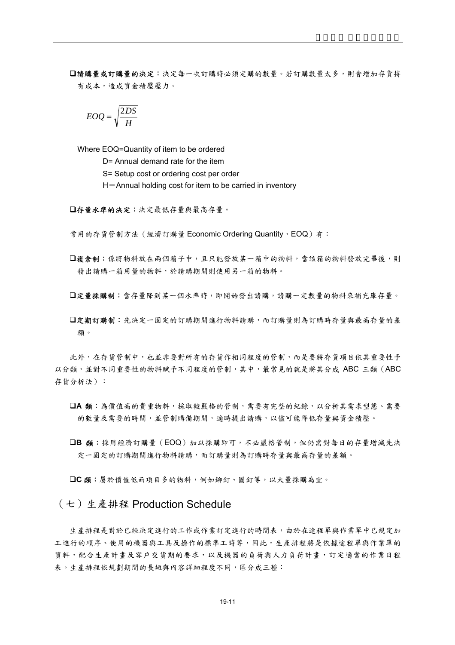請購量或訂購量的決定:決定每一次訂購時必須定購的數量。若訂購數量太多,則會增加存貨持 有成本,造成資金積壓壓力。

$$
EOQ = \sqrt{\frac{2DS}{H}}
$$

Where EOQ=Quantity of item to be ordered

D= Annual demand rate for the item

S= Setup cost or ordering cost per order

 $H=$ Annual holding cost for item to be carried in inventory

存量水準的決定:決定最低存量與最高存量。

常用的存貨管制方法(經濟訂購量 Economic Ordering Quantity, EOQ)有:

- 複倉制:係將物料放在兩個箱子中,且只能發放某一箱中的物料,當該箱的物料發放完畢後,則 發出請購一箱用量的物料,於請購期間則使用另一箱的物料。
- 定量採購制:當存量降到某一個水準時,即開始發出請購,請購一定數量的物料來補充庫存量。
- □定期訂購制:先決定一固定的訂購期間進行物料請購,而訂購量則為訂購時存量與最高存量的差 額。

此外,在存貨管制中,也並非要對所有的存貨作相同程度的管制,而是要將存貨項目依其重要性予 以分類,並對不同重要性的物料賦予不同程度的管制,其中,最常見的就是將其分成 ABC 三類(ABC 存貨分析法):

- **□A 類:**為價值高的貴重物料,採取較嚴格的管制,需要有完整的紀錄,以分析其需求型態、需要 的數量及需要的時間,並管制購備期間,適時提出請購,以儘可能降低存量與資金積壓。
- **□B 類:**採用經濟訂購量(EOQ)加以採購即可,不必嚴格管制,但仍需對每日的存量增減先決 定一固定的訂購期間進行物料請購,而訂購量則為訂購時存量與最高存量的差額。

**C** 類:屬於價值低而項目多的物料,例如鉚釘、圖釘等,以大量採購為宜。

## $(+)$  生產排程 Production Schedule

生產排程是對於已經決定進行的工作或作業訂定進行的時間表,由於在途程單與作業單中已規定加 工進行的順序、使用的機器與工具及操作的標準工時等,因此,生產排程將是依據途程單與作業單的 資料,配合生產計畫及客戶交貨期的要求,以及機器的負荷與人力負荷計畫,訂定適當的作業日程 表。生產排程依規劃期間的長短與內容詳細程度不同,區分成三種: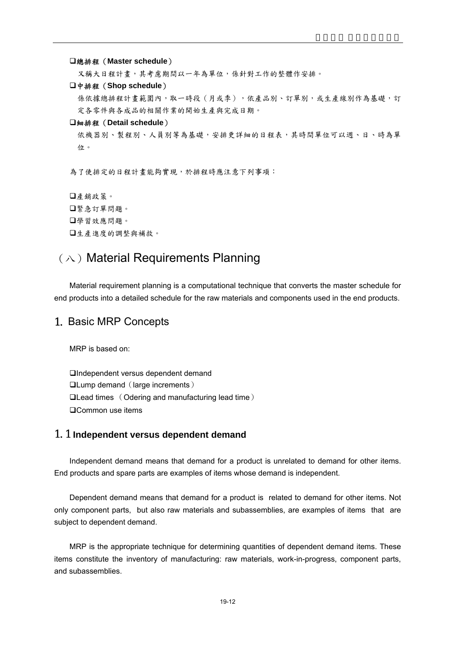總排程(**Master schedule**)

又稱大日程計畫,其考慮期間以一年為單位,係針對工作的整體作安排。

#### 中排程(**Shop schedule**)

係依據總排程計畫範圍內,取一時段(月或季),依產品別、訂單別,或生產線別作為基礎,訂 定各零件與各成品的相關作業的開始生產與完成日期。

#### 細排程(**Detail schedule**)

依機器別、製程別、人員別等為基礎,安排更詳細的日程表,其時間單位可以週、日、時為單 位。

為了使排定的日程計畫能夠實現,於排程時應注意下列事項:

產銷政策。 緊急訂單問題。 學習效應問題。 生產進度的調整與補救。

# $(\wedge)$  Material Requirements Planning

Material requirement planning is a computational technique that converts the master schedule for end products into a detailed schedule for the raw materials and components used in the end products.

## 1. Basic MRP Concepts

MRP is based on:

Independent versus dependent demand **QLump demand (large increments)** Lead times (Odering and manufacturing lead time) □Common use items

## 1.1 **Independent versus dependent demand**

Independent demand means that demand for a product is unrelated to demand for other items. End products and spare parts are examples of items whose demand is independent.

Dependent demand means that demand for a product is related to demand for other items. Not only component parts, but also raw materials and subassemblies, are examples of items that are subject to dependent demand.

MRP is the appropriate technique for determining quantities of dependent demand items. These items constitute the inventory of manufacturing: raw materials, work-in-progress, component parts, and subassemblies.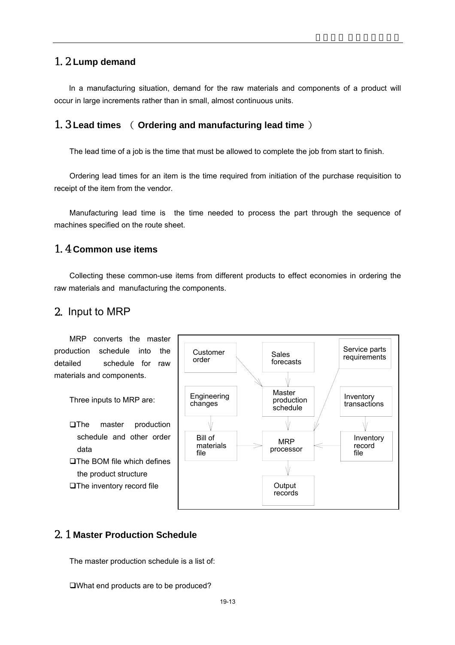# 1.2 **Lump demand**

 In a manufacturing situation, demand for the raw materials and components of a product will occur in large increments rather than in small, almost continuous units.

## 1.3 **Lead times** ( **Ordering and manufacturing lead time** )

The lead time of a job is the time that must be allowed to complete the job from start to finish.

Ordering lead times for an item is the time required from initiation of the purchase requisition to receipt of the item from the vendor.

Manufacturing lead time is the time needed to process the part through the sequence of machines specified on the route sheet.

# 1.4 **Common use items**

Collecting these common-use items from different products to effect economies in ordering the raw materials and manufacturing the components.

# 2. Input to MRP

MRP converts the master production schedule into the detailed schedule for raw materials and components.

Three inputs to MRP are:

**The master production** schedule and other order data **□The BOM file which defines** the product structure **OThe inventory record file** 



# 2.1 **Master Production Schedule**

The master production schedule is a list of:

What end products are to be produced?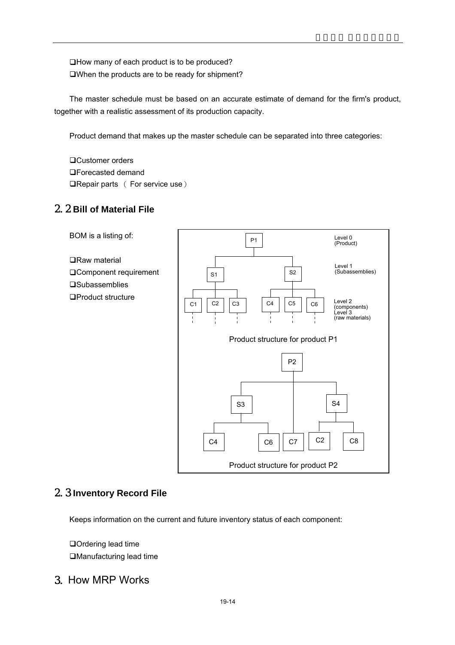□How many of each product is to be produced? When the products are to be ready for shipment?

The master schedule must be based on an accurate estimate of demand for the firm's product, together with a realistic assessment of its production capacity.

Product demand that makes up the master schedule can be separated into three categories:

□Customer orders Forecasted demand  $\Box$ Repair parts ( For service use )

# 2.2 **Bill of Material File**



# 2.3 **Inventory Record File**

Keeps information on the current and future inventory status of each component:

□Ordering lead time Manufacturing lead time

# 3. How MRP Works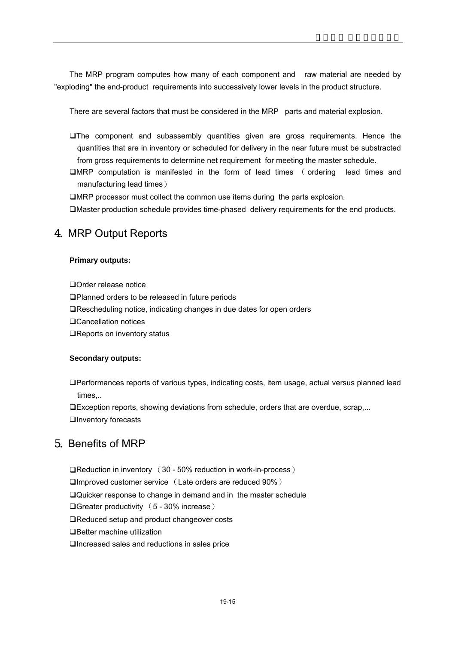The MRP program computes how many of each component and raw material are needed by "exploding" the end-product requirements into successively lower levels in the product structure.

There are several factors that must be considered in the MRP parts and material explosion.

- The component and subassembly quantities given are gross requirements. Hence the quantities that are in inventory or scheduled for delivery in the near future must be substracted from gross requirements to determine net requirement for meeting the master schedule.
- MRP computation is manifested in the form of lead times ( ordering lead times and manufacturing lead times)

MRP processor must collect the common use items during the parts explosion.

Master production schedule provides time-phased delivery requirements for the end products.

# 4. MRP Output Reports

## **Primary outputs:**

Order release notice

Planned orders to be released in future periods

■Rescheduling notice, indicating changes in due dates for open orders

Cancellation notices

■Reports on inventory status

## **Secondary outputs:**

Performances reports of various types, indicating costs, item usage, actual versus planned lead times,..

Exception reports, showing deviations from schedule, orders that are overdue, scrap,... **QInventory forecasts** 

# 5. Benefits of MRP

Reduction in inventory (30 - 50% reduction in work-in-process) Improved customer service (Late orders are reduced 90%) Quicker response to change in demand and in the master schedule Greater productivity (5 - 30% increase) ■Reduced setup and product changeover costs □Better machine utilization Increased sales and reductions in sales price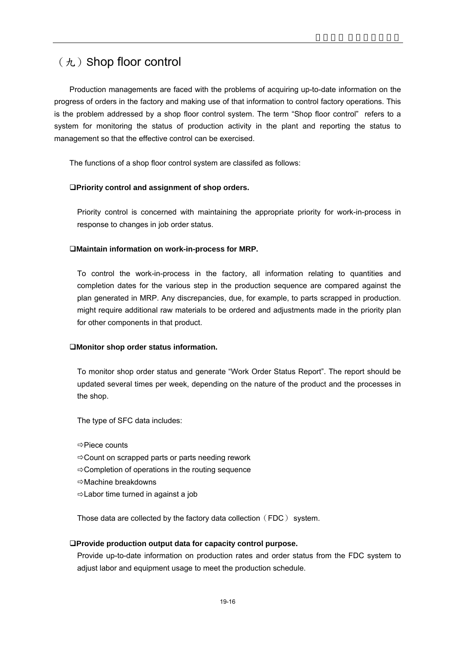# $(h)$  Shop floor control

Production managements are faced with the problems of acquiring up-to-date information on the progress of orders in the factory and making use of that information to control factory operations. This is the problem addressed by a shop floor control system. The term "Shop floor control" refers to a system for monitoring the status of production activity in the plant and reporting the status to management so that the effective control can be exercised.

The functions of a shop floor control system are classifed as follows:

## **Priority control and assignment of shop orders.**

Priority control is concerned with maintaining the appropriate priority for work-in-process in response to changes in job order status.

## **Maintain information on work-in-process for MRP.**

To control the work-in-process in the factory, all information relating to quantities and completion dates for the various step in the production sequence are compared against the plan generated in MRP. Any discrepancies, due, for example, to parts scrapped in production. might require additional raw materials to be ordered and adjustments made in the priority plan for other components in that product.

## **Monitor shop order status information.**

To monitor shop order status and generate "Work Order Status Report". The report should be updated several times per week, depending on the nature of the product and the processes in the shop.

The type of SFC data includes:

 $\Rightarrow$  Piece counts

- $\Rightarrow$  Count on scrapped parts or parts needing rework
- $\Rightarrow$  Completion of operations in the routing sequence
- ÖMachine breakdowns
- $\Rightarrow$  Labor time turned in against a job

Those data are collected by the factory data collection (FDC) system.

## **Provide production output data for capacity control purpose.**

Provide up-to-date information on production rates and order status from the FDC system to adjust labor and equipment usage to meet the production schedule.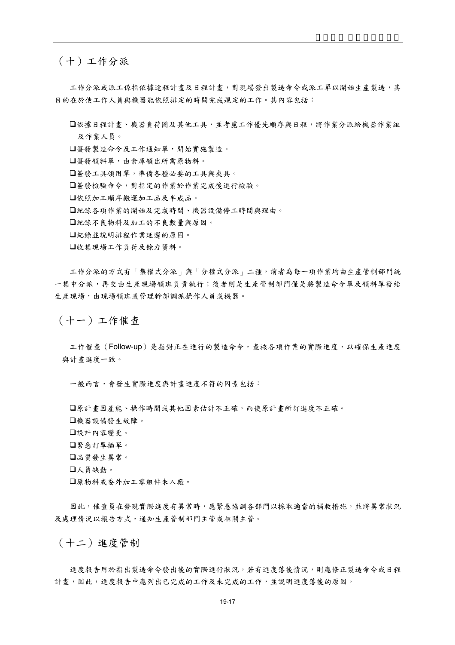## (十)工作分派

工作分派或派工係指依據途程計畫及日程計畫,對現場發出製造命令或派工單以開始生產製造,其 目的在於使工作人員與機器能依照排定的時間完成規定的工作。其內容包括:

依據日程計畫、機器負荷圖及其他工具,並考慮工作優先順序與日程,將作業分派給機器作業組 及作業人員。

簽發製造命令及工作通知單,開始實施製造。

簽發領料單,由倉庫領出所需原物料。

簽發工具領用單,準備各種必要的工具與夾具。

簽發檢驗命令,對指定的作業於作業完成後進行檢驗。

依照加工順序搬運加工品及半成品。

紀錄各項作業的開始及完成時間、機器設備停工時間與理由。

紀錄不良物料及加工的不良數量與原因。

紀錄並說明排程作業延遲的原因。

收集現場工作負荷及餘力資料。

工作分派的方式有「集權式分派」與「分權式分派」二種,前者為每一項作業均由生產管制部門統 一集中分派,再交由生產現場領班負責執行;後者則是生產管制部門僅是將製造命令單及領料單發給 生產現場,由現場領班或管理幹部調派操作人員或機器。

(十一)工作催查

工作催查(Follow-up)是指對正在進行的製造命令,查核各項作業的實際進度,以確保生產進度 與計畫進度一致。

一般而言,會發生實際進度與計畫進度不符的因素包括:

原計畫因產能、操作時間或其他因素估計不正確,而使原計畫所訂進度不正確。 機器設備發生故障。 設計內容變更。 緊急訂單插單。 品質發生異常。 人員缺勤。 原物料或委外加工零組件未入廠。

因此,催查員在發現實際進度有異常時,應緊急協調各部門以採取適當的補救措施,並將異常狀況 及處理情況以報告方式,通知生產管制部門主管或相關主管。

(十二)進度管制

進度報告用於指出製造命令發出後的實際進行狀況,若有進度落後情況,則應修正製造命令或日程 計畫,因此,進度報告中應列出已完成的工作及未完成的工作,並說明進度落後的原因。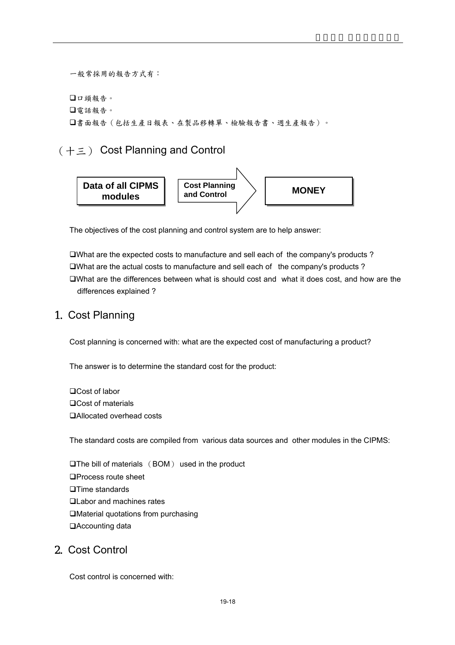一般常採用的報告方式有: 口頭報告。 電話報告。 書面報告(包括生產日報表、在製品移轉單、檢驗報告書、週生產報告)。

(十三) Cost Planning and Control



The objectives of the cost planning and control system are to help answer:

What are the expected costs to manufacture and sell each of the company's products ?  $\square$ What are the actual costs to manufacture and sell each of the company's products? What are the differences between what is should cost and what it does cost, and how are the differences explained ?

# 1. Cost Planning

Cost planning is concerned with: what are the expected cost of manufacturing a product?

The answer is to determine the standard cost for the product:

□Cost of labor □Cost of materials Allocated overhead costs

The standard costs are compiled from various data sources and other modules in the CIPMS:

 $\Box$ The bill of materials  $(BOM)$  used in the product □Process route sheet **□Time standards QLabor and machines rates** Material quotations from purchasing Accounting data

# 2. Cost Control

Cost control is concerned with: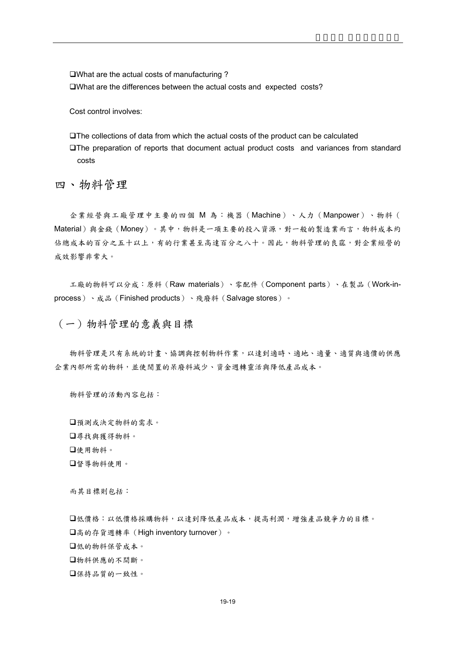What are the actual costs of manufacturing ?

What are the differences between the actual costs and expected costs?

Cost control involves:

The collections of data from which the actual costs of the product can be calculated The preparation of reports that document actual product costs and variances from standard costs

四、物料管理

企業經營與工廠管理中主要的四個 M 為:機器(Machine)、人力(Manpower)、物料( Material)與金錢(Money)。其中,物料是一項主要的投入資源,對一般的製造業而言,物料成本約 佔總成本的百分之五十以上,有的行業甚至高達百分之八十。因此,物料管理的良窳,對企業經營的 成效影響非常大。

工廠的物料可以分成:原料(Raw materials)、零配件(Component parts)、在製品(Work-inprocess)、成品(Finished products)、殘廢料(Salvage stores)。

(一)物料管理的意義與目標

物料管理是只有系統的計畫、協調與控制物料作業,以達到適時、適地、適量、適質與適價的供應 企業內部所需的物料,並使閒置的呆廢料減少、資金週轉靈活與降低產品成本。

物料管理的活動內容包括:

預測或決定物料的需求。 尋找與獲得物料。 使用物料。 督導物料使用。

而其目標則包括:

低價格:以低價格採購物料,以達到降低產品成本,提高利潤,增強產品競爭力的目標。 高的存貨週轉率(High inventory turnover)。 低的物料保管成本。 物料供應的不間斷。 保持品質的一致性。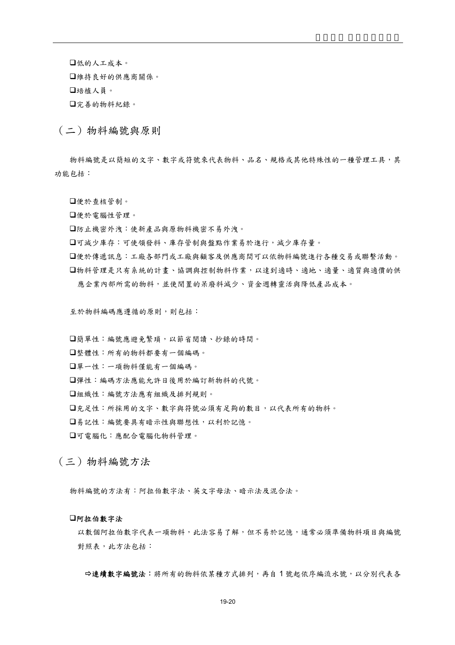低的人工成本。

維持良好的供應商關係。

培植人員。

完善的物料紀錄。

(二)物料編號與原則

物料編號是以簡短的文字、數字或符號來代表物料、品名、規格或其他特殊性的一種管理工具,其 功能包括:

便於查核管制。

便於電腦性管理。

防止機密外洩:使新產品與原物料機密不易外洩。

可減少庫存:可使領發料、庫存管制與盤點作業易於進行,減少庫存量。

便於傳遞訊息:工廠各部門或工廠與顧客及供應商間可以依物料編號進行各種交易或聯繫活動。 物料管理是只有系統的計畫、協調與控制物料作業,以達到適時、適地、適量、適質與適價的供 應企業內部所需的物料,並使閒置的呆廢料減少、資金週轉靈活與降低產品成本。

至於物料編碼應遵循的原則,則包括:

簡單性:編號應避免繁瑣,以節省閱讀、抄錄的時間。

整體性:所有的物料都要有一個編碼。

單一性:一項物料僅能有一個編碼。

彈性:編碼方法應能允許日後用於編訂新物料的代號。

組織性:編號方法應有組織及排列規則。

充足性:所採用的文字、數字與符號必須有足夠的數目,以代表所有的物料。

易記性:編號要具有暗示性與聯想性,以利於記憶。

可電腦化:應配合電腦化物料管理。

(三)物料編號方法

物料編號的方法有:阿拉伯數字法、英文字母法、暗示法及混合法。

### 阿拉伯數字法

以數個阿拉伯數字代表一項物料,比法容易了解,但不易於記憶,通常必須準備物料項目與編號 對照表,此方法包括:

→連續數字編號法:將所有的物料依某種方式排列,再自1號起依序編流水號,以分別代表各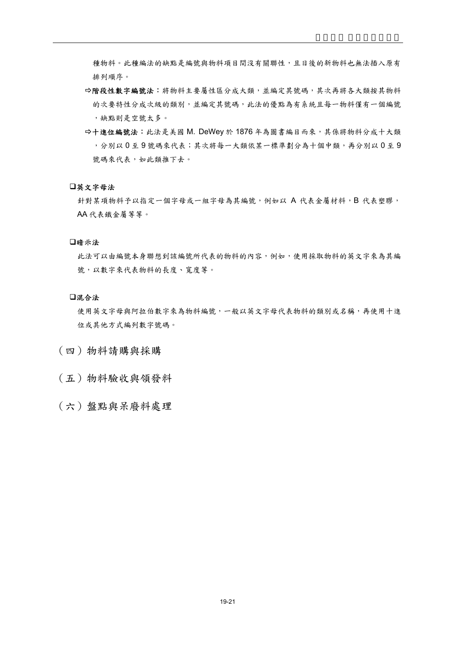種物料。此種編法的缺點是編號與物料項目間沒有關聯性,且日後的新物料也無法插入原有 排列順序。

- Ö階段性數字編號法:將物料主要屬性區分成大類,並編定其號碼,其次再將各大類按其物料 的次要特性分成次級的類別,並編定其號碼,比法的優點為有系統且每一物料僅有一個編號 ,缺點則是空號太多。
- $\Rightarrow$ 十進位編號法: 此法是美國 M. DeWey 於 1876年為圖書編目而來,其係將物料分成十大類 ,分別以 0 至 9 號碼來代表;其次將每一大類依某一標準劃分為十個中類,再分別以 0 至 9 號碼來代表,如此類推下去。

#### 英文字母法

針對某項物料予以指定一個字母或一組字母為其編號,例如以 A 代表金屬材料,B 代表塑膠, AA 代表鐵金屬等等。

#### 暗示法

此法可以由編號本身聯想到該編號所代表的物料的內容,例如,使用採取物料的英文字來為其編 號,以數字來代表物料的長度、寬度等。

### 混合法

使用英文字母與阿拉伯數字來為物料編號,一般以英文字母代表物料的類別或名稱,再使用十進 位或其他方式編列數字號碼。

- (四)物料請購與採購
- (五)物料驗收與領發料
- (六)盤點與呆廢料處理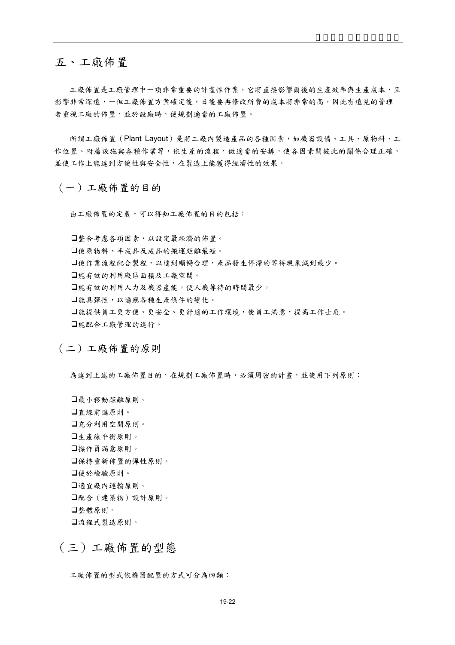# 五、工廠佈置

工廠佈置是工廠管理中一項非常重要的計書性作業,它將直接影響爾後的生產效率與生產成本,且 影響非常深遠,一但工廠佈置方案確定後,日後要再修改所費的成本將非常的高,因此有遠見的管理 者重視工廠的佈置,並於設廠時,便規劃適當的工廠佈置。

所謂工廠佈置(Plant Layout)是將工廠內製造產品的各種因素,如機器設備、工具、原物料、工 作位置、附屬設施與各種作業等,依生產的流程,做適當的安排,使各因素間彼此的關係合理正確, 並使工作上能達到方便性與安全性,在製造上能獲得經濟性的效果。

(一)工廠佈置的目的

由工廠佈置的定義,可以得知工廠佈置的目的包括:

整合考慮各項因素,以設定最經濟的佈置。 使原物料、半成品及成品的搬運距離最短。 □使作業流程配合製程,以達到順暢合理,產品發生停滯的等待現象減到最少。 能有效的利用廠區面積及工廠空間。 能有效的利用人力及機器產能,使人機等待的時間最少。 能具彈性,以適應各種生產條件的變化。 能提供員工更方便、更安全、更舒適的工作環境,使員工滿意,提高工作士氣。 能配合工廠管理的進行。

(二)工廠佈置的原則

為達到上述的工廠佈置目的,在規劃工廠佈置時,必須周密的計畫,並使用下列原則:

最小移動距離原則。 直線前進原則。 充分利用空間原則。 生產線平衡原則。 操作員滿意原則。 保持重新佈置的彈性原則。 便於檢驗原則。 適宜廠內運輸原則。 配合(建築物)設計原則。 整體原則。 流程式製造原則。

# (三)工廠佈置的型態

工廠佈置的型式依機器配置的方式可分為四類: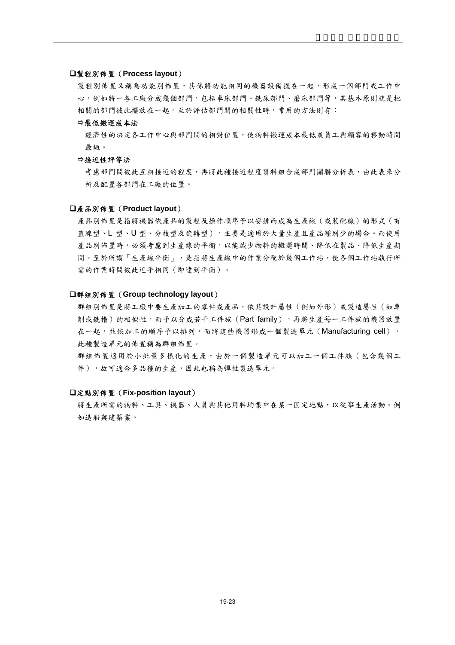### 製程別佈置(**Process layout**)

製程別佈置又稱為功能別佈置,其係將功能相同的機器設備擺在一起,形成一個部門或工作中 心,例如將一各工廠分成幾個部門,包括車床部門、銑床部門、磨床部門等,其基本原則就是把 相關的部門彼此擺放在一起。至於評估部門間的相關性時,常用的方法則有:

#### Ö最低搬運成本法

經濟性的決定各工作中心與部門間的相對位置,使物料搬運成本最低或員工與顧客的移動時間 最短。

#### Ö接近性評等法

考慮部門間彼此互相接近的權接近程度資料組合成部門關聯分析表,由此表來分 析及配置各部門在工廠的位置。

#### 產品別佈置(**Product layout**)

產品別佈置是指將機器依產品的製程及操作順序予以安排而成為生產線(或裝配線)的形式(有 直線型、L 型、U 型、分枝型及旋轉型),主要是適用於大量生產且產品種別少的場合。而使用 產品別佈置時,必須考慮到生產線的平衡,以能減少物料的搬運時間、降低在製品、降低生產期 間。至於所謂「生產線平衡」,是指將生產線中的作業分配於幾個工作站,使各個工作站執行所 需的作業時間彼此近乎相同(即達到平衡)。

#### 群組別佈置(**Group technology layout**)

群組別佈置是將工廠中要生產加工的零件或產品,依其設計屬性(例如外形)或製造屬性(如車 削或銑槽)的相似性,而予以分成若干工件族(Part family),再將生產每一工件族的機器放置 在一起,並依加工的順序予以排列,而將這些機器形成一個製造單元(Manufacturing cell), 此種製造單元的佈置稱為群組佈置。

群組佈置適用於小批量多樣化的生產,由於一個製造單元可以加工一個工件族(包含幾個工 件),故可適合多品種的生產,因此也稱為彈性製造單元。

#### 定點別佈置(**Fix-position layout**)

將生產所需的物料、工具、機器、人員與其他用料均集中在某一固定地點,以從事生產活動。例 如造船與建築業。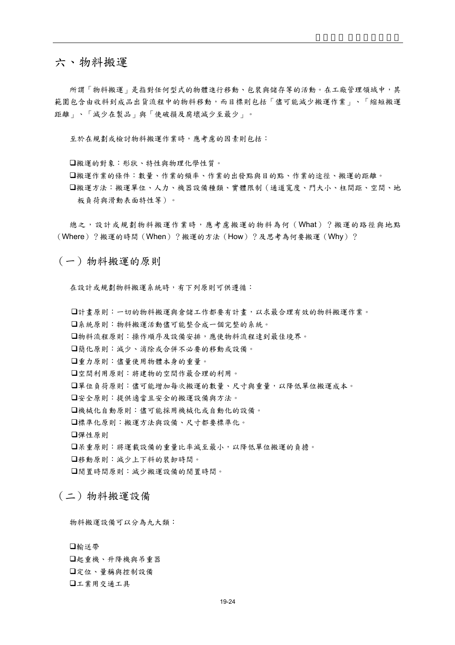# 六、物料搬運

所謂「物料搬運」是指對任何型式的物體進行移動、包裝與儲存等的活動。在工廠管理領域中,其 範圍包含由收料到成品出貨流程中的物料移動,而目標則包括「儘可能減少搬運作業」、「縮短搬運 距離」、「減少在製品」與「使破損及腐壞減少至最少」。

至於在規劃或檢討物料搬運作業時,應考慮的因素則包括:

搬運的對象:形狀、特性與物理化學性質。

搬運作業的條件:數量、作業的頻率、作業的出發點與目的點、作業的途徑、搬運的距離。 搬運方法:搬運單位、人力、機器設備種類、實體限制(通道寬度、門大小、柱間距、空間、地 板負荷與滑動表面特性等)。

總之,設計或規劃物料搬運作業時,應考慮搬運的物料為何(What)?搬運的路徑與地點 (Where)?搬運的時間(When)?搬運的方法(How)?及思考為何要搬運(Why)?

(一)物料搬運的原則

在設計或規劃物料搬運系統時,有下列原則可供遵循:

計畫原則:一切的物料搬運與倉儲工作都要有計畫,以求最合理有效的物料搬運作業。

系統原則:物料搬運活動儘可能整合成一個完整的系統。

物料流程原則:操作順序及設備安排,應使物料流程達到最佳境界。

簡化原則:減少、消除或合併不必要的移動或設備。

重力原則:儘量使用物體本身的重量。

空間利用原則:將建物的空間作最合理的利用。

單位負荷原則:儘可能增加每次搬運的數量、尺寸與重量,以降低單位搬運成本。

安全原則:提供適當且安全的搬運設備與方法。

機械化自動原則:儘可能採用機械化或自動化的設備。

標準化原則:搬運方法與設備、尺寸都要標準化。

彈性原則

呆重原則:將運載設備的重量比率減至最小,以降低單位搬運的負擔。

移動原則:減少上下料的裝卸時間。

閒置時間原則:減少搬運設備的閒置時間。

# (二)物料搬運設備

物料搬運設備可以分為九大類:

輸送帶 起重機、升降機與吊重器 定位、量稱與控制設備 工業用交通工具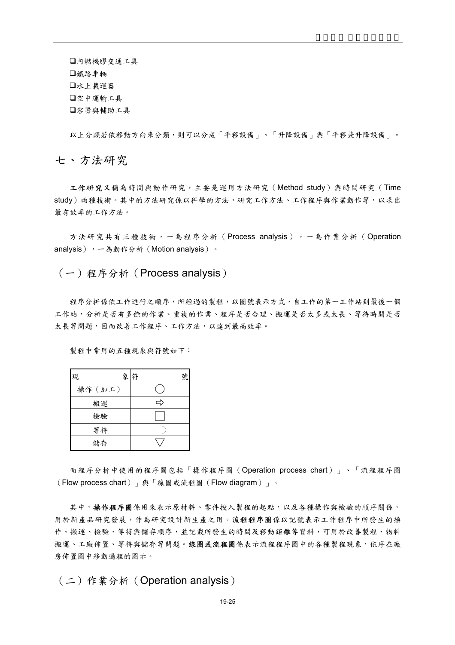內燃機膠交通工具 鐵路車輛 水上載運器 口空中運輸工具 口容器與輔助工具

以上分類若依移動方向來分類,則可以分成「平移設備」、「升降設備」與「平移兼升降設備」。

七、方法研究

工作研究又稱為時間與動作研究,主要是運用方法研究(Method study)與時間研究(Time study)兩種技術。其中的方法研究係以科學的方法,研究工作方法、工作程序與作業動作等,以求出 最有效率的工作方法。

方法研究共有三種技術,一為程序分析(Process analysis),一為作業分析(Operation analysis),一為動作分析(Motion analysis)。

## (一)程序分析(Process analysis)

程序分析係依工作進行之順序,所經過的製程,以圖號表示方式,自工作的第一工作站到最後一個 工作站,分析是否有多餘的作業、重複的作業、程序是否合理、搬運是否太多或太長、等待時間是否 太長等問題,因而改善工作程序、工作方法,以達到最高效率。

製程中常用的五種現象與符號如下:

| 象<br>現  | 符<br>號 |
|---------|--------|
| 操作 (加工) |        |
| 搬運      | ᅼ      |
| 檢驗      |        |
| 等待      |        |
| 儲存      |        |

而程序分析中使用的程序圖包括「操作程序圖(Operation process chart)」、「流程程序圖 (Flow process chart)」與「線圖或流程圖(Flow diagram)」。

其中,操作程序圖係用來表示原材料、零件投入製程的起點,以及各種操作與檢驗的順序關係, 用於新產品研究發言,作為研究設計新生產之用。流程程序圖係以記號表示工作程序中所發生的操 作、搬運、檢驗、等待與儲存順序,並記載所發生的時間及移動距離等資料,可用於改善製程、物料 搬運、工廠佈置、等待與儲存等問題。線圖或流程圖係表示流程程序圖中的各種製程現象,依序在廠 房佈置圖中移動過程的圖示。

(二)作業分析(Operation analysis)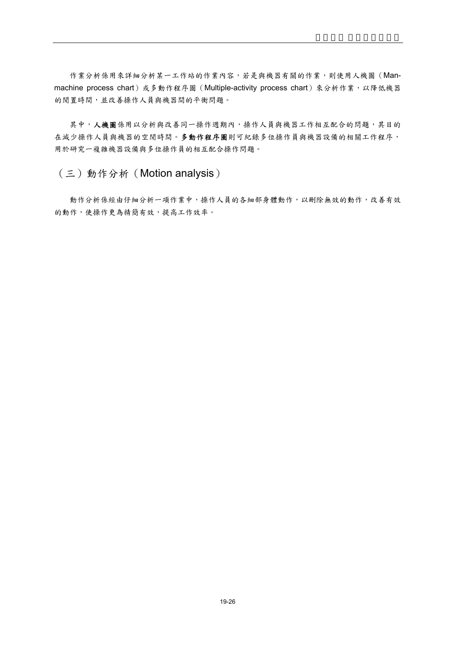作業分析係用來詳細分析某一工作站的作業內容,若是與機器有關的作業,則使用人機圖(Manmachine process chart)或多動作程序圖 (Multiple-activity process chart) 來分析作業,以降低機器 的閒置時間,並改善操作人員與機器間的平衡問題。

其中,人機圖係用以分析與改善同一操作週期內,操作人員與機器工作相互配合的問題,其目的 在減少操作人員與機器的空閒時間。多動作程序圖則可紀錄多位操作員與機器設備的相關工作程序, 用於研究一複雜機器設備與多位操作員的相互配合操作問題。

(三)動作分析(Motion analysis)

動作分析係經由仔細分析一項作業中,操作人員的各細部身體動作,以刪除無效的動作,改善有效 的動作,使操作更為精簡有效,提高工作效率。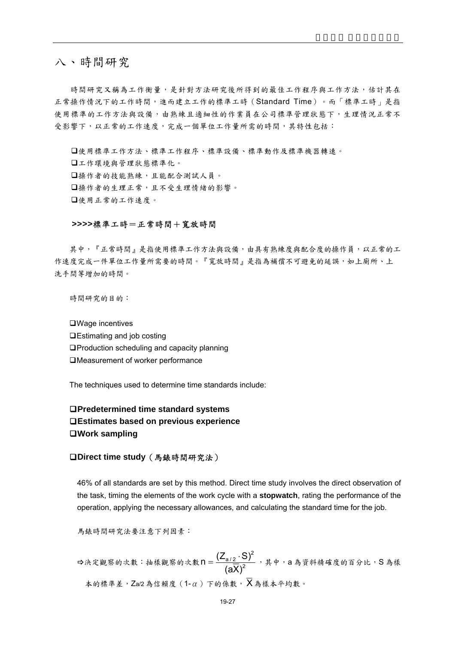# 八、時間研究

時間研究又稱為工作衡量,是針對方法研究後所得到的最佳工作程序與工作方法,估計其在 正常操作情況下的工作時間,進而建立工作的標準工時(Standard Time)。而「標準工時」是指 使用標準的工作方法與設備,由熟練且適細性的作業員在公司標準管理狀態下,生理情況正常不 受影響下,以正常的工作速度,完成一個單位工作量所需的時間,其特性包括:

使用標準工作方法、標準工作程序、標準設備、標準動作及標準機器轉速。 工作環境與管理狀態標準化。 操作者的技能熟練,且能配合測試人員。 操作者的生理正常,且不受生理情緒的影響。 使用正常的工作速度。

### **>>>>**標準工時=正常時間+寬放時間

其中,『正常時間』是指使用標準工作方法與設備,由具有熟練度與配合度的操作員,以正常的工 作速度完成一件單位工作量所需要的時間。『寬放時間』是指為補償不可避免的延誤,如上廁所、上 洗手間等增加的時間。

時間研究的目的:

□Wage incentives

- □Estimating and job costing
- □Production scheduling and capacity planning
- Measurement of worker performance

The techniques used to determine time standards include:

# **Predetermined time standard systems Estimates based on previous experience Work sampling**

## **Direct time study**(馬錶時間研究法)

46% of all standards are set by this method. Direct time study involves the direct observation of the task, timing the elements of the work cycle with a **stopwatch**, rating the performance of the operation, applying the necessary allowances, and calculating the standard time for the job.

馬錶時間研究法要注意下列因素:

 $\Rightarrow$ 決定觀察的次數:抽樣觀察的次數 n =  $\frac{\sqrt{-a/2}}{(\sqrt{2})^2}$ 2 a / 2 (aX)  $n = \frac{(\mathsf{Z}_{a/2} \cdot S)^2}{(1 + \mathsf{Z}_{a/2})^2}$ , 其中, a 為資料精確度的百分比, S 為樣 本的標準差,Za/2 為信賴度(1-α)下的係數, X 為樣本平均數。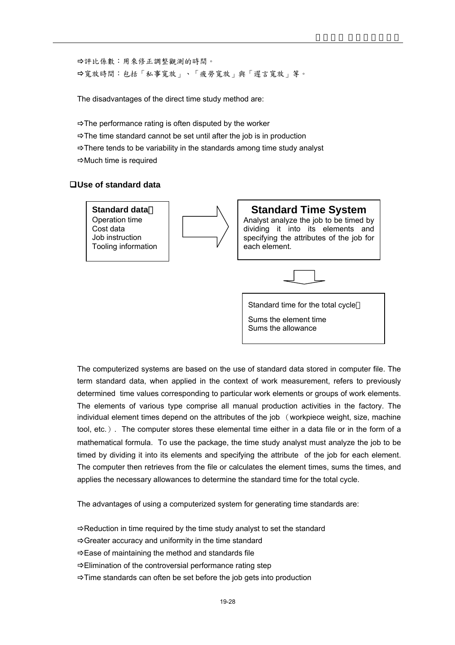Ö評比係數:用來修正調整觀測的時間。 Ö寬放時間:包括「私事寬放」、「疲勞寬放」與「遲言寬放」等。

The disadvantages of the direct time study method are:

- $\Rightarrow$ The performance rating is often disputed by the worker
- $\Rightarrow$  The time standard cannot be set until after the job is in production
- $\Rightarrow$  There tends to be variability in the standards among time study analyst
- $\Rightarrow$  Much time is required

## **Use of standard data**



Sums the element time Sums the allowance

The computerized systems are based on the use of standard data stored in computer file. The term standard data, when applied in the context of work measurement, refers to previously determined time values corresponding to particular work elements or groups of work elements. The elements of various type comprise all manual production activities in the factory. The individual element times depend on the attributes of the job (workpiece weight, size, machine tool, etc.). The computer stores these elemental time either in a data file or in the form of a mathematical formula. To use the package, the time study analyst must analyze the job to be timed by dividing it into its elements and specifying the attribute of the job for each element. The computer then retrieves from the file or calculates the element times, sums the times, and applies the necessary allowances to determine the standard time for the total cycle.

The advantages of using a computerized system for generating time standards are:

- $\Rightarrow$  Reduction in time required by the time study analyst to set the standard
- $\Rightarrow$  Greater accuracy and uniformity in the time standard
- $\Rightarrow$  Ease of maintaining the method and standards file
- $\Rightarrow$  Elimination of the controversial performance rating step
- $\Rightarrow$  Time standards can often be set before the job gets into production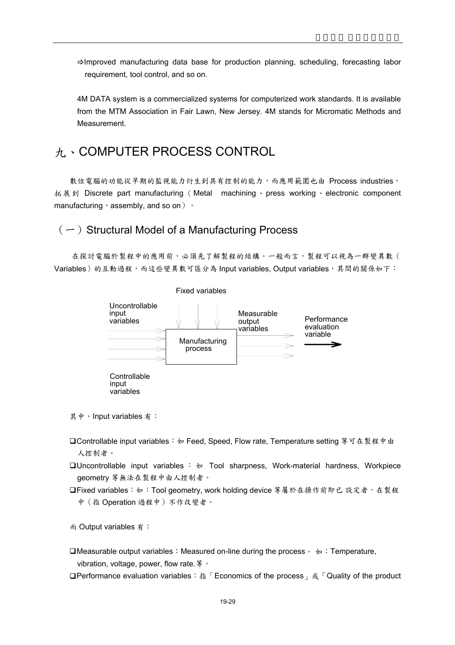$\Rightarrow$  Improved manufacturing data base for production planning, scheduling, forecasting labor requirement, tool control, and so on.

4M DATA system is a commercialized systems for computerized work standards. It is available from the MTM Association in Fair Lawn, New Jersey. 4M stands for Micromatic Methods and Measurement.

# 九、COMPUTER PROCESS CONTROL

數位電腦的功能從早期的監視能力衍生到具有控制的能力,而應用範圍也由 Process industries, 拓展到 Discrete part manufacturing (Metal machining、press working、electronic component manufacturing、assembly, and so on)。

# $(-)$  Structural Model of a Manufacturing Process

在探討電腦於製程中的應用前,必須先了解製程的結構。一般而言,製程可以視為一群變異數( Variables)的互動過程,而這些變異數可區分為 Input variables, Output variables, 其間的關係如下:



其中, Input variables 有:

- Controllable input variables:如 Feed, Speed, Flow rate, Temperature setting 等可在製程中由 人控制者。
- **QUncontrollable input variables :**  $\psi$  **Tool sharpness, Work-material hardness, Workpiece** geometry 等無法在製程中由人控制者。
- □Fixed variables: 如: Tool geometry, work holding device 等屬於在操作前即已 設定者, 在製程 中(指 Operation 過程中)不作改變者。

而 Output variables 有:

- **QMeasurable output variables: Measured on-line during the process**  $\phi$  : Temperature, vibration, voltage, power, flow rate.等。
- **QPerformance evaluation variables: 指「Economics of the process」或「Quality of the product**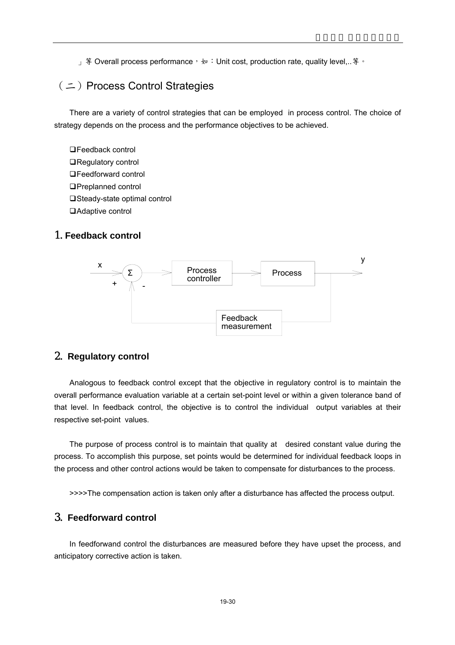」等 Overall process performance,<sub>如</sub>: Unit cost, production rate, quality level,..等。

# (二)Process Control Strategies

There are a variety of control strategies that can be employed in process control. The choice of strategy depends on the process and the performance objectives to be achieved.

□Feedback control ■Regulatory control □Feedforward control Preplanned control □Steady-state optimal control □ Adaptive control

# 1.**Feedback control**



## 2. **Regulatory control**

Analogous to feedback control except that the objective in regulatory control is to maintain the overall performance evaluation variable at a certain set-point level or within a given tolerance band of that level. In feedback control, the objective is to control the individual output variables at their respective set-point values.

The purpose of process control is to maintain that quality at desired constant value during the process. To accomplish this purpose, set points would be determined for individual feedback loops in the process and other control actions would be taken to compensate for disturbances to the process.

>>>>The compensation action is taken only after a disturbance has affected the process output.

# 3. **Feedforward control**

In feedforwand control the disturbances are measured before they have upset the process, and anticipatory corrective action is taken.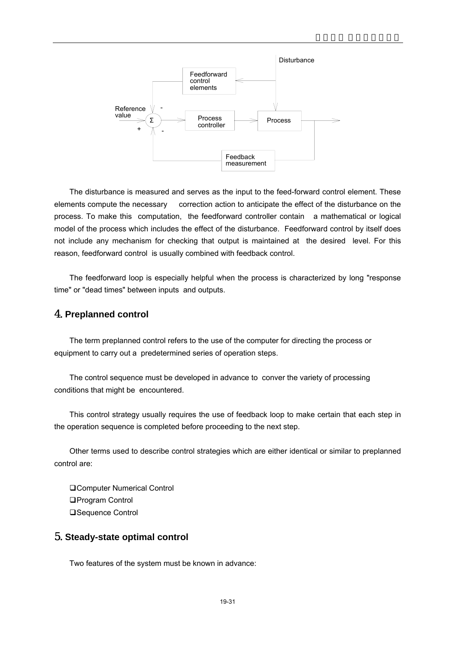

The disturbance is measured and serves as the input to the feed-forward control element. These elements compute the necessary correction action to anticipate the effect of the disturbance on the process. To make this computation, the feedforward controller contain a mathematical or logical model of the process which includes the effect of the disturbance. Feedforward control by itself does not include any mechanism for checking that output is maintained at the desired level. For this reason, feedforward control is usually combined with feedback control.

The feedforward loop is especially helpful when the process is characterized by long "response time" or "dead times" between inputs and outputs.

## 4.**Preplanned control**

The term preplanned control refers to the use of the computer for directing the process or equipment to carry out a predetermined series of operation steps.

The control sequence must be developed in advance to conver the variety of processing conditions that might be encountered.

This control strategy usually requires the use of feedback loop to make certain that each step in the operation sequence is completed before proceeding to the next step.

Other terms used to describe control strategies which are either identical or similar to preplanned control are:

□Computer Numerical Control □Program Control **□Sequence Control** 

# 5.**Steady-state optimal control**

Two features of the system must be known in advance: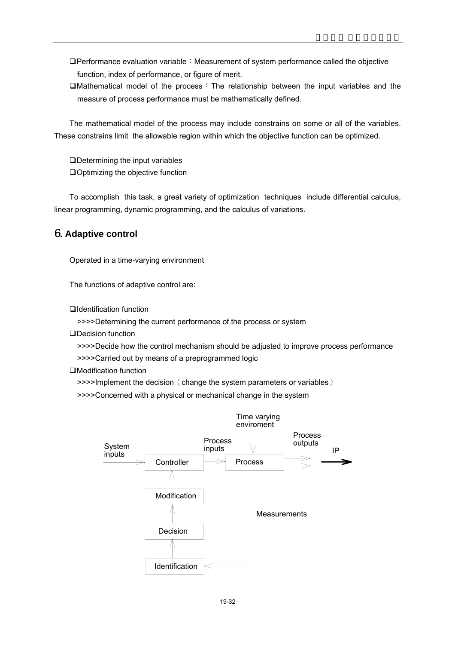- $\Box$ Performance evaluation variable: Measurement of system performance called the objective function, index of performance, or figure of merit.
- $\Box$ Mathematical model of the process: The relationship between the input variables and the measure of process performance must be mathematically defined.

The mathematical model of the process may include constrains on some or all of the variables. These constrains limit the allowable region within which the objective function can be optimized.

Determining the input variables Optimizing the objective function

To accomplish this task, a great variety of optimization techniques include differential calculus, linear programming, dynamic programming, and the calculus of variations.

# 6.**Adaptive control**

Operated in a time-varying environment

The functions of adaptive control are:

Identification function

>>>>Determining the current performance of the process or system

□Decision function

>>>>Decide how the control mechanism should be adjusted to improve process performance

>>>>Carried out by means of a preprogrammed logic

Modification function

 $\rightarrow$ >>>Implement the decision (change the system parameters or variables)

>>>>Concerned with a physical or mechanical change in the system

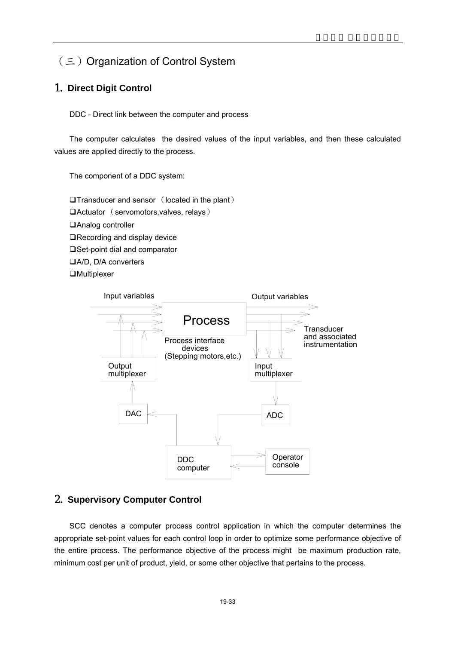# (三) Organization of Control System

# 1. **Direct Digit Control**

DDC - Direct link between the computer and process

The computer calculates the desired values of the input variables, and then these calculated values are applied directly to the process.

The component of a DDC system:

 $\Box$ Transducer and sensor (located in the plant) Actuator (servomotors,valves, relays) □Analog controller ■Recording and display device □Set-point dial and comparator A/D, D/A converters **□Multiplexer** 



## 2. **Supervisory Computer Control**

SCC denotes a computer process control application in which the computer determines the appropriate set-point values for each control loop in order to optimize some performance objective of the entire process. The performance objective of the process might be maximum production rate, minimum cost per unit of product, yield, or some other objective that pertains to the process.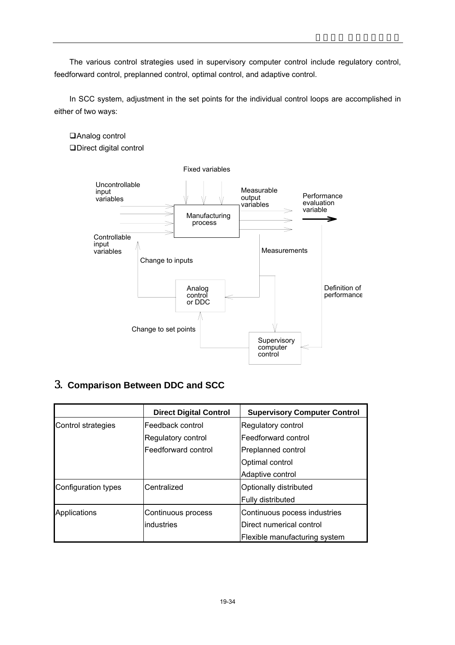The various control strategies used in supervisory computer control include regulatory control, feedforward control, preplanned control, optimal control, and adaptive control.

In SCC system, adjustment in the set points for the individual control loops are accomplished in either of two ways:

## Analog control

Direct digital control



# 3. **Comparison Between DDC and SCC**

|                     | <b>Direct Digital Control</b> | <b>Supervisory Computer Control</b> |
|---------------------|-------------------------------|-------------------------------------|
| Control strategies  | Feedback control              | Regulatory control                  |
|                     | Regulatory control            | Feedforward control                 |
|                     | Feedforward control           | Preplanned control                  |
|                     |                               | Optimal control                     |
|                     |                               | Adaptive control                    |
| Configuration types | Centralized                   | Optionally distributed              |
|                     |                               | Fully distributed                   |
| Applications        | Continuous process            | Continuous pocess industries        |
|                     | industries                    | Direct numerical control            |
|                     |                               | Flexible manufacturing system       |